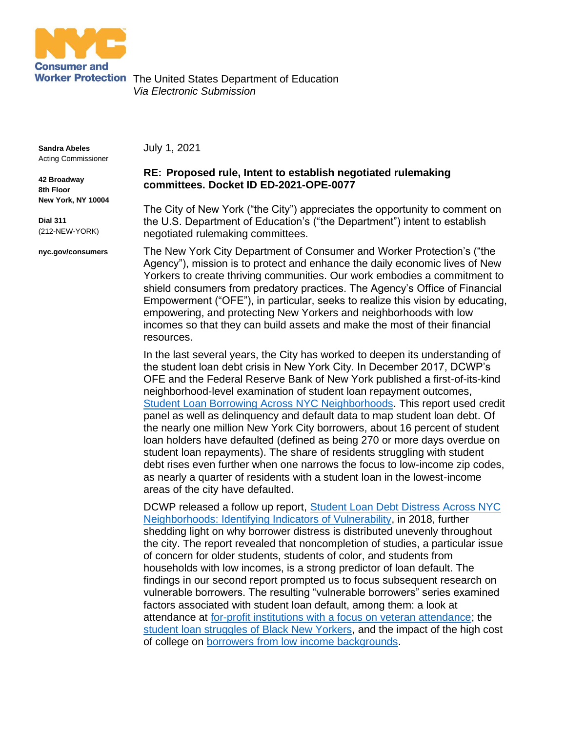

Worker Protection The United States Department of Education *Via Electronic Submission*

**Sandra Abeles** Acting Commissioner

**42 Broadway 8th Floor New York, NY 10004**

**Dial 311** (212-NEW-YORK)

**nyc.gov/consumers**

July 1, 2021

## **RE: Proposed rule, Intent to establish negotiated rulemaking committees. Docket ID ED-2021-OPE-0077**

The City of New York ("the City") appreciates the opportunity to comment on the U.S. Department of Education's ("the Department") intent to establish negotiated rulemaking committees.

The New York City Department of Consumer and Worker Protection's ("the Agency"), mission is to protect and enhance the daily economic lives of New Yorkers to create thriving communities. Our work embodies a commitment to shield consumers from predatory practices. The Agency's Office of Financial Empowerment ("OFE"), in particular, seeks to realize this vision by educating, empowering, and protecting New Yorkers and neighborhoods with low incomes so that they can build assets and make the most of their financial resources.

In the last several years, the City has worked to deepen its understanding of the student loan debt crisis in New York City. In December 2017, DCWP's OFE and the Federal Reserve Bank of New York published a first-of-its-kind neighborhood-level examination of student loan repayment outcomes, [Student Loan Borrowing Across NYC Neighborhoods.](https://www.newyorkfed.org/medialibrary/media/outreach-and-education/community-development/credit-conditions/student-loan-borrowing-nyc-neighborhoods.pdf) This report used credit panel as well as delinquency and default data to map student loan debt. Of the nearly one million New York City borrowers, about 16 percent of student loan holders have defaulted (defined as being 270 or more days overdue on student loan repayments). The share of residents struggling with student debt rises even further when one narrows the focus to low-income zip codes, as nearly a quarter of residents with a student loan in the lowest-income areas of the city have defaulted.

DCWP released a follow up report, Student Loan Debt Distress Across NYC [Neighborhoods: Identifying Indicators of Vulnerability,](https://www1.nyc.gov/assets/dca/downloads/pdf/partners/Research-StudentLoanDebtDistressAcrossNYCNeighborhoods.pdf) in 2018, further shedding light on why borrower distress is distributed unevenly throughout the city. The report revealed that noncompletion of studies, a particular issue of concern for older students, students of color, and students from households with low incomes, is a strong predictor of loan default. The findings in our second report prompted us to focus subsequent research on vulnerable borrowers. The resulting "vulnerable borrowers" series examined factors associated with student loan default, among them: a look at attendance at [for-profit institutions with a focus on veteran attendance;](https://www1.nyc.gov/assets/dca/downloads/pdf/partners/Research-SLDVeteranBorrowerReport.pdf) the [student loan struggles of Black New Yorkers,](https://www1.nyc.gov/assets/dca/downloads/pdf/partners/SLDBlackBorrowers_Report.pdf) and the impact of the high cost of college on [borrowers from low income backgrounds.](https://www1.nyc.gov/assets/dca/downloads/pdf/partners/SLD-lowincome_report.pdf)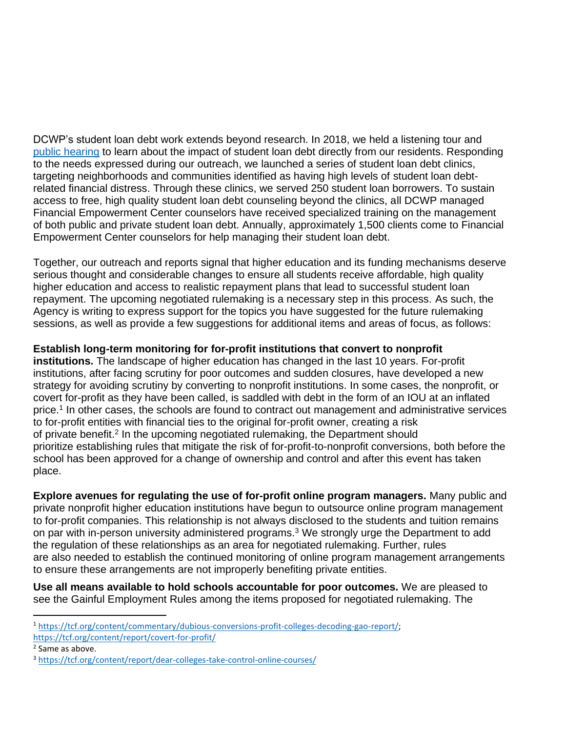DCWP's student loan debt work extends beyond research. In 2018, we held a listening tour and [public hearing](https://www1.nyc.gov/assets/dca/downloads/pdf/partners/Research-StudentLoanDebtDistressAcrossNYCNeighborhoods-PublicHearingPolicyProposals.pdf) to learn about the impact of student loan debt directly from our residents. Responding to the needs expressed during our outreach, we launched a series of student loan debt clinics, targeting neighborhoods and communities identified as having high levels of student loan debtrelated financial distress. Through these clinics, we served 250 student loan borrowers. To sustain access to free, high quality student loan debt counseling beyond the clinics, all DCWP managed Financial Empowerment Center counselors have received specialized training on the management of both public and private student loan debt. Annually, approximately 1,500 clients come to Financial Empowerment Center counselors for help managing their student loan debt.

Together, our outreach and reports signal that higher education and its funding mechanisms deserve serious thought and considerable changes to ensure all students receive affordable, high quality higher education and access to realistic repayment plans that lead to successful student loan repayment. The upcoming negotiated rulemaking is a necessary step in this process. As such, the Agency is writing to express support for the topics you have suggested for the future rulemaking sessions, as well as provide a few suggestions for additional items and areas of focus, as follows:

## **Establish long-term monitoring for for-profit institutions that convert to nonprofit**

**institutions.** The landscape of higher education has changed in the last 10 years. For-profit institutions, after facing scrutiny for poor outcomes and sudden closures, have developed a new strategy for avoiding scrutiny by converting to nonprofit institutions. In some cases, the nonprofit, or covert for-profit as they have been called, is saddled with debt in the form of an IOU at an inflated price.<sup>1</sup> In other cases, the schools are found to contract out management and administrative services to for-profit entities with financial ties to the original for-profit owner, creating a risk of private benefit.<sup>2</sup> In the upcoming negotiated rulemaking, the Department should prioritize establishing rules that mitigate the risk of for-profit-to-nonprofit conversions, both before the school has been approved for a change of ownership and control and after this event has taken place.

**Explore avenues for regulating the use of for-profit online program managers.** Many public and private nonprofit higher education institutions have begun to outsource online program management to for-profit companies. This relationship is not always disclosed to the students and tuition remains on par with in-person university administered programs.<sup>3</sup> We strongly urge the Department to add the regulation of these relationships as an area for negotiated rulemaking. Further, rules are also needed to establish the continued monitoring of online program management arrangements to ensure these arrangements are not improperly benefiting private entities.

**Use all means available to hold schools accountable for poor outcomes.** We are pleased to see the Gainful Employment Rules among the items proposed for negotiated rulemaking. The

<sup>1</sup> [https://tcf.org/content/commentary/dubious-conversions-profit-colleges-decoding-gao-report/;](https://tcf.org/content/commentary/dubious-conversions-profit-colleges-decoding-gao-report/)

<https://tcf.org/content/report/covert-for-profit/>

<sup>&</sup>lt;sup>2</sup> Same as above.

<sup>3</sup> <https://tcf.org/content/report/dear-colleges-take-control-online-courses/>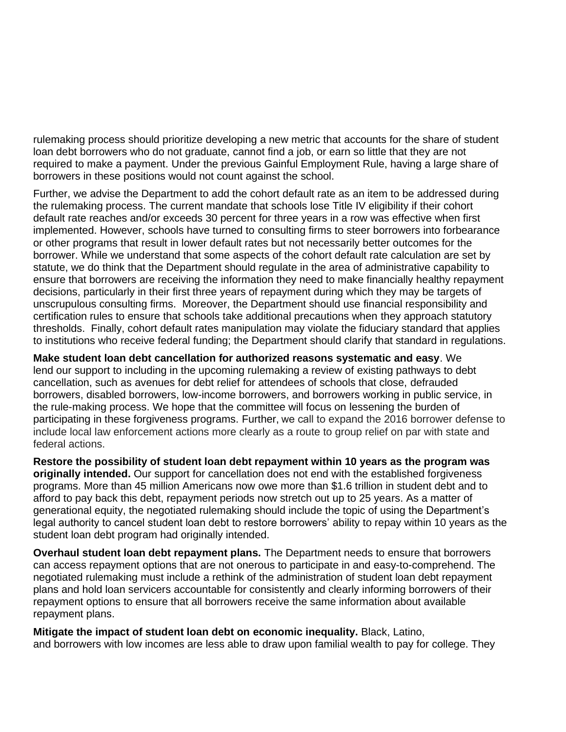rulemaking process should prioritize developing a new metric that accounts for the share of student loan debt borrowers who do not graduate, cannot find a job, or earn so little that they are not required to make a payment. Under the previous Gainful Employment Rule, having a large share of borrowers in these positions would not count against the school.

Further, we advise the Department to add the cohort default rate as an item to be addressed during the rulemaking process. The current mandate that schools lose Title IV eligibility if their cohort default rate reaches and/or exceeds 30 percent for three years in a row was effective when first implemented. However, schools have turned to consulting firms to steer borrowers into forbearance or other programs that result in lower default rates but not necessarily better outcomes for the borrower. While we understand that some aspects of the cohort default rate calculation are set by statute, we do think that the Department should regulate in the area of administrative capability to ensure that borrowers are receiving the information they need to make financially healthy repayment decisions, particularly in their first three years of repayment during which they may be targets of unscrupulous consulting firms. Moreover, the Department should use financial responsibility and certification rules to ensure that schools take additional precautions when they approach statutory thresholds. Finally, cohort default rates manipulation may violate the fiduciary standard that applies to institutions who receive federal funding; the Department should clarify that standard in regulations.

**Make student loan debt cancellation for authorized reasons systematic and easy**. We lend our support to including in the upcoming rulemaking a review of existing pathways to debt cancellation, such as avenues for debt relief for attendees of schools that close, defrauded borrowers, disabled borrowers, low-income borrowers, and borrowers working in public service, in the rule-making process. We hope that the committee will focus on lessening the burden of participating in these forgiveness programs. Further, we call to expand the 2016 borrower defense to include local law enforcement actions more clearly as a route to group relief on par with state and federal actions.

**Restore the possibility of student loan debt repayment within 10 years as the program was originally intended.** Our support for cancellation does not end with the established forgiveness programs. More than 45 million Americans now owe more than \$1.6 trillion in student debt and to afford to pay back this debt, repayment periods now stretch out up to 25 years. As a matter of generational equity, the negotiated rulemaking should include the topic of using the Department's legal authority to cancel student loan debt to restore borrowers' ability to repay within 10 years as the student loan debt program had originally intended.

**Overhaul student loan debt repayment plans.** The Department needs to ensure that borrowers can access repayment options that are not onerous to participate in and easy-to-comprehend. The negotiated rulemaking must include a rethink of the administration of student loan debt repayment plans and hold loan servicers accountable for consistently and clearly informing borrowers of their repayment options to ensure that all borrowers receive the same information about available repayment plans.

**Mitigate the impact of student loan debt on economic inequality.** Black, Latino, and borrowers with low incomes are less able to draw upon familial wealth to pay for college. They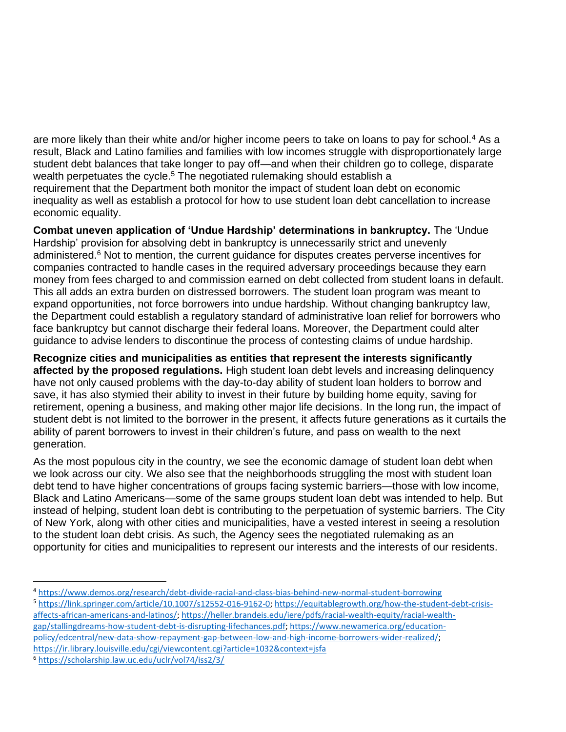are more likely than their white and/or higher income peers to take on loans to pay for school.<sup>4</sup> As a result, Black and Latino families and families with low incomes struggle with disproportionately large student debt balances that take longer to pay off—and when their children go to college, disparate wealth perpetuates the cycle.<sup>5</sup> The negotiated rulemaking should establish a requirement that the Department both monitor the impact of student loan debt on economic inequality as well as establish a protocol for how to use student loan debt cancellation to increase economic equality.

**Combat uneven application of 'Undue Hardship' determinations in bankruptcy.** The 'Undue Hardship' provision for absolving debt in bankruptcy is unnecessarily strict and unevenly administered.<sup>6</sup> Not to mention, the current guidance for disputes creates perverse incentives for companies contracted to handle cases in the required adversary proceedings because they earn money from fees charged to and commission earned on debt collected from student loans in default. This all adds an extra burden on distressed borrowers. The student loan program was meant to expand opportunities, not force borrowers into undue hardship. Without changing bankruptcy law, the Department could establish a regulatory standard of administrative loan relief for borrowers who face bankruptcy but cannot discharge their federal loans. Moreover, the Department could alter guidance to advise lenders to discontinue the process of contesting claims of undue hardship.

**Recognize cities and municipalities as entities that represent the interests significantly affected by the proposed regulations.** High student loan debt levels and increasing delinquency have not only caused problems with the day-to-day ability of student loan holders to borrow and save, it has also stymied their ability to invest in their future by building home equity, saving for retirement, opening a business, and making other major life decisions. In the long run, the impact of student debt is not limited to the borrower in the present, it affects future generations as it curtails the ability of parent borrowers to invest in their children's future, and pass on wealth to the next generation.

As the most populous city in the country, we see the economic damage of student loan debt when we look across our city. We also see that the neighborhoods struggling the most with student loan debt tend to have higher concentrations of groups facing systemic barriers—those with low income, Black and Latino Americans—some of the same groups student loan debt was intended to help. But instead of helping, student loan debt is contributing to the perpetuation of systemic barriers. The City of New York, along with other cities and municipalities, have a vested interest in seeing a resolution to the student loan debt crisis. As such, the Agency sees the negotiated rulemaking as an opportunity for cities and municipalities to represent our interests and the interests of our residents.

- <sup>4</sup> <https://www.demos.org/research/debt-divide-racial-and-class-bias-behind-new-normal-student-borrowing>
- <sup>5</sup> [https://link.springer.com/article/10.1007/s12552-016-9162-0;](https://link.springer.com/article/10.1007/s12552-016-9162-0) [https://equitablegrowth.org/how-the-student-debt-crisis](https://equitablegrowth.org/how-the-student-debt-crisis-affects-african-americans-and-latinos/)[affects-african-americans-and-latinos/;](https://equitablegrowth.org/how-the-student-debt-crisis-affects-african-americans-and-latinos/) [https://heller.brandeis.edu/iere/pdfs/racial-wealth-equity/racial-wealth](https://heller.brandeis.edu/iere/pdfs/racial-wealth-equity/racial-wealth-gap/stallingdreams-how-student-debt-is-disrupting-lifechances.pdf)[gap/stallingdreams-how-student-debt-is-disrupting-lifechances.pdf;](https://heller.brandeis.edu/iere/pdfs/racial-wealth-equity/racial-wealth-gap/stallingdreams-how-student-debt-is-disrupting-lifechances.pdf) [https://www.newamerica.org/education](https://www.newamerica.org/education-policy/edcentral/new-data-show-repayment-gap-between-low-and-high-income-borrowers-wider-realized/)[policy/edcentral/new-data-show-repayment-gap-between-low-and-high-income-borrowers-wider-realized/;](https://www.newamerica.org/education-policy/edcentral/new-data-show-repayment-gap-between-low-and-high-income-borrowers-wider-realized/) <https://ir.library.louisville.edu/cgi/viewcontent.cgi?article=1032&context=jsfa>
- <sup>6</sup> <https://scholarship.law.uc.edu/uclr/vol74/iss2/3/>